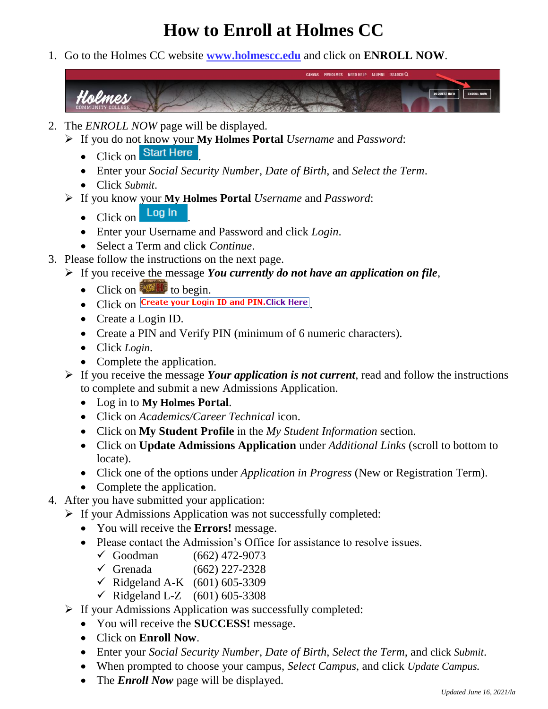## **How to Enroll at Holmes CC**

1. Go to the Holmes CC website **[www.holmescc.edu](http://www.holmescc.edu/)** and click on **ENROLL NOW**.



- 2. The *ENROLL NOW* page will be displayed.
	- ➢ If you do not know your **My Holmes Portal** *Username* and *Password*:
		- $\bullet$  Click on Start Here
		- Enter your *Social Security Number*, *Date of Birth*, and *Select the Term*.
		- Click *Submit*.
	- ➢ If you know your **My Holmes Portal** *Username* and *Password*:
		- $\bullet$  Click on  $\overline{\phantom{a}}$  Log In
		- Enter your Username and Password and click *Login*.
		- Select a Term and click *Continue*.
- 3. Please follow the instructions on the next page.
	- ➢ If you receive the message *You currently do not have an application on file*,
		- Click on  $\mathbb{R}$  to begin.
		- Click on Create your Login ID and PIN. Click Here
		- Create a Login ID.
		- Create a PIN and Verify PIN (minimum of 6 numeric characters).
		- Click *Login*.
		- Complete the application.
	- ➢ If you receive the message *Your application is not current*, read and follow the instructions to complete and submit a new Admissions Application.
		- Log in to **My Holmes Portal**.
		- Click on *Academics/Career Technical* icon.
		- Click on **My Student Profile** in the *My Student Information* section.
		- Click on **Update Admissions Application** under *Additional Links* (scroll to bottom to locate).
		- Click one of the options under *Application in Progress* (New or Registration Term).
		- Complete the application.
- 4. After you have submitted your application:
	- ➢ If your Admissions Application was not successfully completed:
		- You will receive the **Errors!** message.
		- Please contact the Admission's Office for assistance to resolve issues.
			- ✓ Goodman (662) 472-9073
			- $\checkmark$  Grenada (662) 227-2328
			- ✓ Ridgeland A-K (601) 605-3309
			- ✓ Ridgeland L-Z (601) 605-3308
	- $\triangleright$  If your Admissions Application was successfully completed:
		- You will receive the **SUCCESS!** message.
		- Click on **Enroll Now**.
		- Enter your *Social Security Number*, *Date of Birth*, *Select the Term*, and click *Submit*.
		- When prompted to choose your campus, *Select Campus*, and click *Update Campus.*
		- The *Enroll Now* page will be displayed.